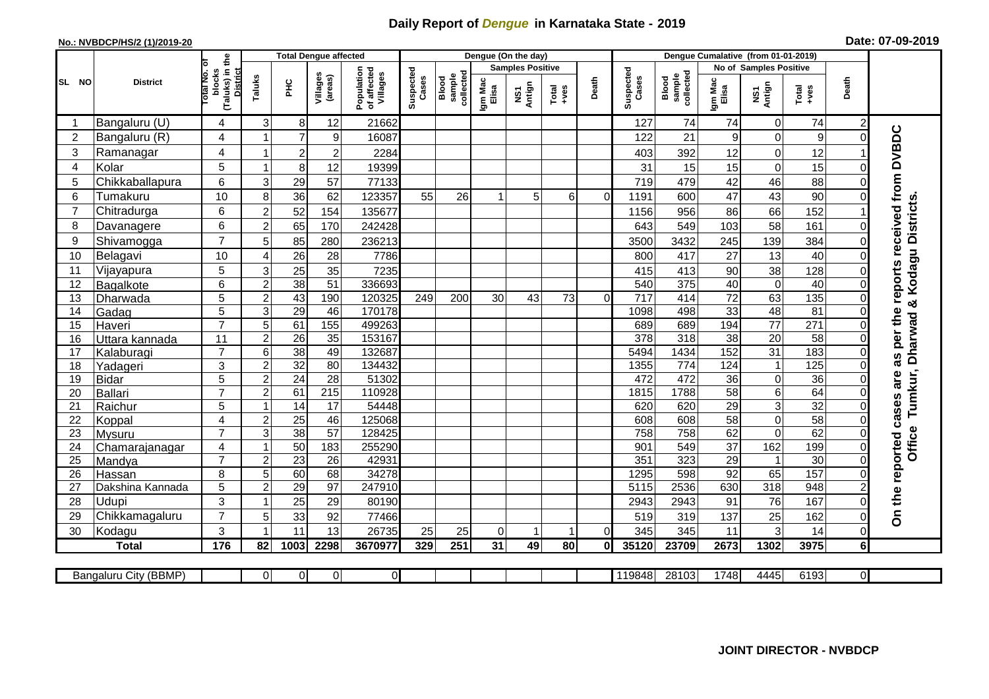## **Daily Report of** *Dengue* **in Karnataka State - 2019**

## **No.: NVBDCP/HS/2 (1)/2019-20 Date: 07-09-2019**

|                |                            |                                                             | <b>Total Dengue affected</b> |                 |                     |                                       |                    |                              | Dengue (On the day)  |                         |                                                              |          |                    |                              |                       |                               |                        |                      |                                        |
|----------------|----------------------------|-------------------------------------------------------------|------------------------------|-----------------|---------------------|---------------------------------------|--------------------|------------------------------|----------------------|-------------------------|--------------------------------------------------------------|----------|--------------------|------------------------------|-----------------------|-------------------------------|------------------------|----------------------|----------------------------------------|
|                |                            |                                                             |                              |                 |                     |                                       |                    |                              |                      | <b>Samples Positive</b> |                                                              |          |                    |                              |                       | <b>No of Samples Positive</b> |                        |                      |                                        |
| SL NO          | <b>District</b>            | (Taluks) in the<br>otal No. of<br>blocks<br><b>District</b> | Taluks                       | 꾿               | Villages<br>(areas) | Population<br>of affected<br>Villages | Suspected<br>Cases | sample<br>collected<br>Blood | Igm Mac<br>Elisa     | NS1<br>Antign           | $\begin{array}{c}\n\text{Total} \\ \text{Area}\n\end{array}$ | Death    | Suspected<br>Cases | sample<br>collected<br>Blood | Igm Mac<br>Elisa      | NS1<br>Antign                 | Total<br>+ves          | Death                |                                        |
| -1             | Bangaluru (U)              | 4                                                           | 3                            | 8 <sup>1</sup>  | 12                  | 21662                                 |                    |                              |                      |                         |                                                              |          | 127                | 74                           | 74                    | 0                             | 74                     | $\overline{2}$       |                                        |
| 2              | Bangaluru (R)              | 4                                                           |                              | $\overline{7}$  | 9                   | 16087                                 |                    |                              |                      |                         |                                                              |          | 122                | 21                           | 9                     | 0                             | 9                      | $\Omega$             |                                        |
| 3              | Ramanagar                  | 4                                                           | -1                           | $\sqrt{2}$      | $\overline{2}$      | 2284                                  |                    |                              |                      |                         |                                                              |          | 403                | 392                          | 12                    | $\mathbf 0$                   | 12                     |                      | as per the reports received from DVBDC |
| 4              | Kolar                      | 5                                                           | $\overline{\mathbf{1}}$      | 8 <sup>1</sup>  | 12                  | 19399                                 |                    |                              |                      |                         |                                                              |          | 31                 | 15                           | 15                    | $\mathbf 0$                   | 15                     | $\Omega$             |                                        |
| 5              | Chikkaballapura            | 6                                                           | 3                            | 29              | 57                  | 77133                                 |                    |                              |                      |                         |                                                              |          | 719                | 479                          | 42                    | 46                            | 88                     | 0                    |                                        |
| 6              | Tumakuru                   | 10                                                          | 8                            | 36              | 62                  | 123357                                | 55                 | 26                           | $\blacktriangleleft$ | 5                       | 6                                                            | $\Omega$ | 1191               | 600                          | 47                    | 43                            | 90                     | $\Omega$             |                                        |
| $\overline{7}$ | Chitradurga                | 6                                                           | $\overline{c}$               | 52              | 154                 | 135677                                |                    |                              |                      |                         |                                                              |          | 1156               | 956                          | 86                    | 66                            | 152                    |                      |                                        |
| 8              | Davanagere                 | 6                                                           | $\overline{2}$               | 65              | 170                 | 242428                                |                    |                              |                      |                         |                                                              |          | 643                | 549                          | 103                   | 58                            | 161                    | $\Omega$             |                                        |
| 9              | Shivamogga                 | $\overline{7}$                                              | 5                            | 85              | 280                 | 236213                                |                    |                              |                      |                         |                                                              |          | 3500               | 3432                         | 245                   | 139                           | 384                    | $\Omega$             | Kodagu Districts                       |
| 10             | Belagavi                   | 10                                                          | 4                            | 26              | 28                  | 7786                                  |                    |                              |                      |                         |                                                              |          | 800                | 417                          | 27                    | 13                            | 40                     | 0                    |                                        |
| 11             | Vijayapura                 | 5                                                           | 3                            | 25              | 35                  | 7235                                  |                    |                              |                      |                         |                                                              |          | 415                | 413                          | 90                    | 38                            | 128                    | 0                    |                                        |
| 12             | Bagalkote                  | 6                                                           | $\overline{2}$               | 38              | 51                  | 336693                                |                    |                              |                      |                         |                                                              |          | 540                | $\overline{375}$             | 40                    | $\overline{0}$                | 40                     | $\Omega$             |                                        |
| 13             | Dharwada                   | 5                                                           | $\overline{2}$               | 43              | 190                 | 120325                                | 249                | 200                          | 30                   | 43                      | 73                                                           | $\Omega$ | $\overline{717}$   | 414                          | $\overline{72}$       | 63                            | 135                    | 0                    | ಳ                                      |
| 14             | Gadag                      | $\overline{5}$                                              | 3                            | 29              | 46                  | 170178                                |                    |                              |                      |                         |                                                              |          | 1098               | 498                          | 33                    | 48                            | $\overline{81}$        | $\Omega$             |                                        |
| 15             | Haveri                     | $\overline{7}$                                              | 5                            | 61              | 155                 | 499263                                |                    |                              |                      |                         |                                                              |          | 689                | 689                          | 194                   | $\overline{77}$               | 271                    | $\Omega$             |                                        |
| 16             | Uttara kannada             | 11                                                          | $\overline{2}$               | $\overline{26}$ | 35                  | 153167                                |                    |                              |                      |                         |                                                              |          | 378                | 318                          | $\overline{38}$       | $\overline{20}$               | 58                     | 0                    | <b>Dharwad</b>                         |
| 17             | Kalaburagi                 | $\overline{7}$                                              | 6                            | $\overline{38}$ | 49                  | 132687                                |                    |                              |                      |                         |                                                              |          | 5494               | 1434                         | 152                   | 31                            | 183                    | $\Omega$             |                                        |
| 18             | Yadageri                   | 3                                                           | $\overline{c}$               | 32              | 80                  | 134432                                |                    |                              |                      |                         |                                                              |          | 1355               | 774                          | 124                   | $\mathbf{1}$                  | 125                    | 0                    |                                        |
| 19             | <b>Bidar</b>               | 5                                                           | $\boldsymbol{2}$             | $\overline{24}$ | $\overline{28}$     | 51302                                 |                    |                              |                      |                         |                                                              |          | 472                | 472                          | 36                    | $\mathbf 0$                   | $\overline{36}$        | $\Omega$             | are                                    |
| 20             | <b>Ballari</b>             | $\overline{7}$                                              | 2                            | 61              | $\overline{215}$    | 110928                                |                    |                              |                      |                         |                                                              |          | 1815               | 1788                         | 58                    | 6                             | 64                     | 0                    |                                        |
| 21             | Raichur                    | 5                                                           | -1                           | 14              | $\overline{17}$     | 54448                                 |                    |                              |                      |                         |                                                              |          | 620                | 620                          | 29                    | $\overline{3}$                | 32                     | 0                    | Tumkur,                                |
| 22             | Koppal                     | 4                                                           | $\overline{c}$               | $\overline{25}$ | 46                  | 125068                                |                    |                              |                      |                         |                                                              |          | 608                | 608                          | 58                    | $\mathbf 0$                   | 58                     | 0                    |                                        |
| 23             | Mysuru                     | $\overline{7}$                                              | 3                            | 38              | $\overline{57}$     | 128425                                |                    |                              |                      |                         |                                                              |          | 758                | 758                          | 62                    | $\overline{0}$                | 62                     | $\mathbf 0$          | Office                                 |
| 24             | Chamarajanagar             | 4<br>$\overline{7}$                                         | $\overline{1}$               | 50              | 183                 | 255290                                |                    |                              |                      |                         |                                                              |          | 901                | 549                          | $\overline{37}$       | 162                           | 199                    | 0                    |                                        |
| 25<br>26       | Mandya                     | 8                                                           | 2<br>5                       | 23<br>60        | 26<br>68            | 42931<br>34278                        |                    |                              |                      |                         |                                                              |          | 351<br>1295        | 323<br>598                   | $\overline{29}$<br>92 | $\mathbf{1}$<br>65            | $\overline{30}$<br>157 | $\Omega$<br>$\Omega$ |                                        |
| 27             | Hassan<br>Dakshina Kannada | 5                                                           | $\overline{2}$               | 29              | 97                  | 247910                                |                    |                              |                      |                         |                                                              |          | 5115               | 2536                         | 630                   | $\overline{318}$              | 948                    |                      |                                        |
| 28             | Udupi                      | 3                                                           | $\overline{\mathbf{1}}$      | 25              | 29                  | 80190                                 |                    |                              |                      |                         |                                                              |          | 2943               | 2943                         | 91                    | 76                            | 167                    | $\Omega$             |                                        |
| 29             | Chikkamagaluru             | $\overline{7}$                                              | 5                            | 33              | 92                  | 77466                                 |                    |                              |                      |                         |                                                              |          | 519                | 319                          | 137                   | 25                            | 162                    | 0                    | On the reported cases                  |
| 30             | Kodagu                     | 3                                                           | -1                           | 11              | 13                  | 26735                                 | 25                 | 25                           | $\Omega$             |                         |                                                              | $\Omega$ | 345                | 345                          | 11                    | 3                             | 14                     | 0                    |                                        |
|                | <b>Total</b>               | 176                                                         | 82                           | 1003            | 2298                | 3670977                               | 329                | 251                          | 31                   | 49                      | 80                                                           | 0l       | 35120              | 23709                        | 2673                  | 1302                          | 3975                   | 6 <sup>1</sup>       |                                        |
|                |                            |                                                             |                              |                 |                     |                                       |                    |                              |                      |                         |                                                              |          |                    |                              |                       |                               |                        |                      |                                        |
|                | Bangaluru City (BBMP)      |                                                             | $\Omega$                     | 0               | $\overline{0}$      | $\overline{0}$                        |                    |                              |                      |                         |                                                              |          | 119848             | 28103                        | 1748                  | 4445                          | 6193                   | ΟI                   |                                        |